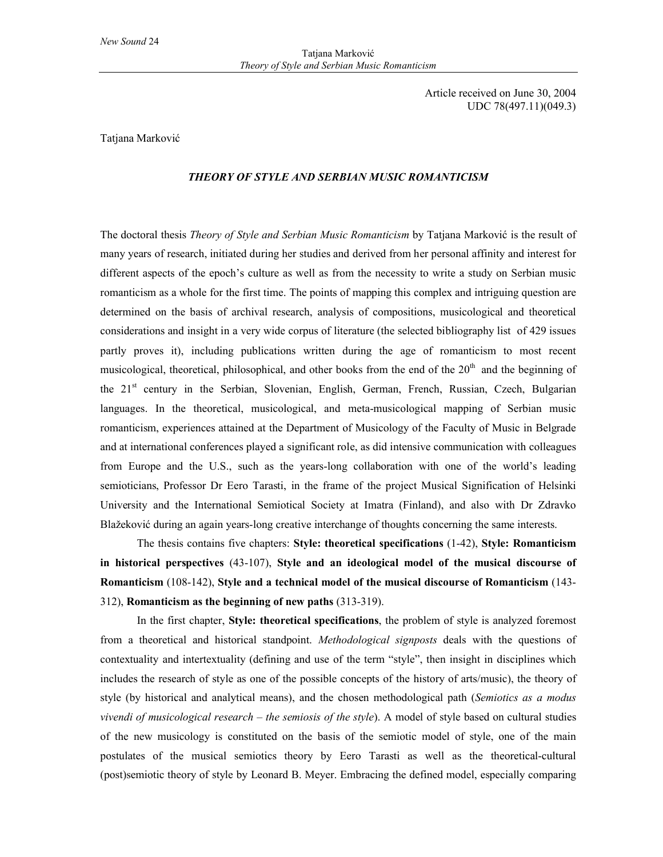Article received on June 30, 2004 UDC 78(497.11)(049.3)

## Tatjana Marković

## *THEORY OF STYLE AND SERBIAN MUSIC ROMANTICISM*

The doctoral thesis *Theory of Style and Serbian Music Romanticism* by Tatjana Marković is the result of many years of research, initiated during her studies and derived from her personal affinity and interest for different aspects of the epoch's culture as well as from the necessity to write a study on Serbian music romanticism as a whole for the first time. The points of mapping this complex and intriguing question are determined on the basis of archival research, analysis of compositions, musicological and theoretical considerations and insight in a very wide corpus of literature (the selected bibliography list of 429 issues partly proves it), including publications written during the age of romanticism to most recent musicological, theoretical, philosophical, and other books from the end of the  $20<sup>th</sup>$  and the beginning of the 21<sup>st</sup> century in the Serbian, Slovenian, English, German, French, Russian, Czech, Bulgarian languages. In the theoretical, musicological, and meta-musicological mapping of Serbian music romanticism, experiences attained at the Department of Musicology of the Faculty of Music in Belgrade and at international conferences played a significant role, as did intensive communication with colleagues from Europe and the U.S., such as the years-long collaboration with one of the world's leading semioticians, Professor Dr Eero Tarasti, in the frame of the project Musical Signification of Helsinki University and the International Semiotical Society at Imatra (Finland), and also with Dr Zdravko Blažeković during an again years-long creative interchange of thoughts concerning the same interests.

The thesis contains five chapters: **Style: theoretical specifications** (1-42), **Style: Romanticism in historical perspectives** (43-107), **Style and an ideological model of the musical discourse of Romanticism** (108-142), **Style and a technical model of the musical discourse of Romanticism** (143- 312), **Romanticism as the beginning of new paths** (313-319).

In the first chapter, **Style: theoretical specifications**, the problem of style is analyzed foremost from a theoretical and historical standpoint. *Methodological signposts* deals with the questions of contextuality and intertextuality (defining and use of the term "style", then insight in disciplines which includes the research of style as one of the possible concepts of the history of arts/music), the theory of style (by historical and analytical means), and the chosen methodological path (*Semiotics as a modus vivendi of musicological research – the semiosis of the style*). A model of style based on cultural studies of the new musicology is constituted on the basis of the semiotic model of style, one of the main postulates of the musical semiotics theory by Eero Tarasti as well as the theoretical-cultural (post)semiotic theory of style by Leonard B. Meyer. Embracing the defined model, especially comparing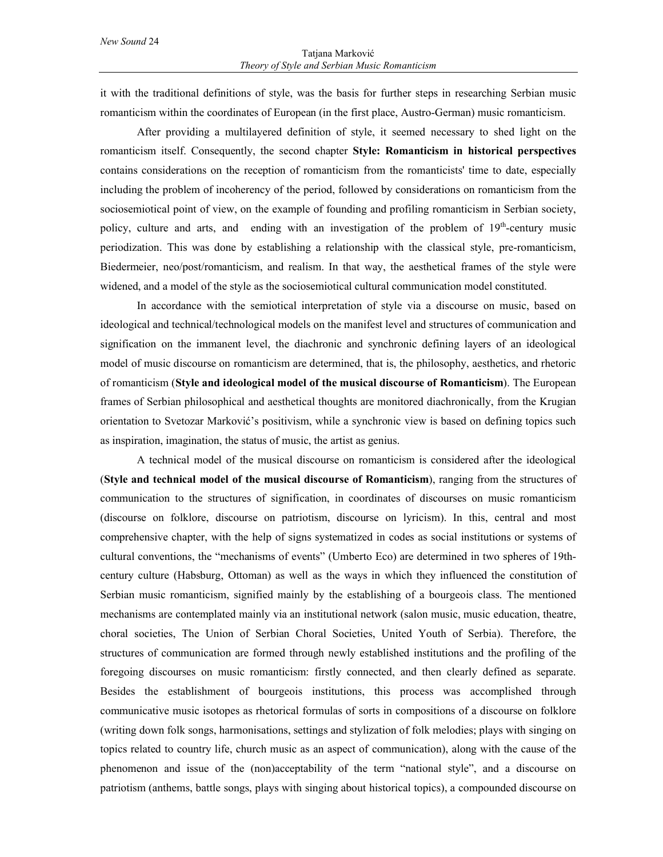it with the traditional definitions of style, was the basis for further steps in researching Serbian music romanticism within the coordinates of European (in the first place, Austro-German) music romanticism.

After providing a multilayered definition of style, it seemed necessary to shed light on the romanticism itself. Consequently, the second chapter **Style: Romanticism in historical perspectives** contains considerations on the reception of romanticism from the romanticists' time to date, especially including the problem of incoherency of the period, followed by considerations on romanticism from the sociosemiotical point of view, on the example of founding and profiling romanticism in Serbian society, policy, culture and arts, and ending with an investigation of the problem of  $19<sup>th</sup>$ -century music periodization. This was done by establishing a relationship with the classical style, pre-romanticism, Biedermeier, neo/post/romanticism, and realism. In that way, the aesthetical frames of the style were widened, and a model of the style as the sociosemiotical cultural communication model constituted.

In accordance with the semiotical interpretation of style via a discourse on music, based on ideological and technical/technological models on the manifest level and structures of communication and signification on the immanent level, the diachronic and synchronic defining layers of an ideological model of music discourse on romanticism are determined, that is, the philosophy, aesthetics, and rhetoric of romanticism (**Style and ideological model of the musical discourse of Romanticism**). The European frames of Serbian philosophical and aesthetical thoughts are monitored diachronically, from the Krugian orientation to Svetozar Marković's positivism, while a synchronic view is based on defining topics such as inspiration, imagination, the status of music, the artist as genius.

A technical model of the musical discourse on romanticism is considered after the ideological (**Style and technical model of the musical discourse of Romanticism**), ranging from the structures of communication to the structures of signification, in coordinates of discourses on music romanticism (discourse on folklore, discourse on patriotism, discourse on lyricism). In this, central and most comprehensive chapter, with the help of signs systematized in codes as social institutions or systems of cultural conventions, the "mechanisms of events" (Umberto Eco) are determined in two spheres of 19thcentury culture (Habsburg, Ottoman) as well as the ways in which they influenced the constitution of Serbian music romanticism, signified mainly by the establishing of a bourgeois class. The mentioned mechanisms are contemplated mainly via an institutional network (salon music, music education, theatre, choral societies, The Union of Serbian Choral Societies, United Youth of Serbia). Therefore, the structures of communication are formed through newly established institutions and the profiling of the foregoing discourses on music romanticism: firstly connected, and then clearly defined as separate. Besides the establishment of bourgeois institutions, this process was accomplished through communicative music isotopes as rhetorical formulas of sorts in compositions of a discourse on folklore (writing down folk songs, harmonisations, settings and stylization of folk melodies; plays with singing on topics related to country life, church music as an aspect of communication), along with the cause of the phenomenon and issue of the (non)acceptability of the term "national style", and a discourse on patriotism (anthems, battle songs, plays with singing about historical topics), a compounded discourse on